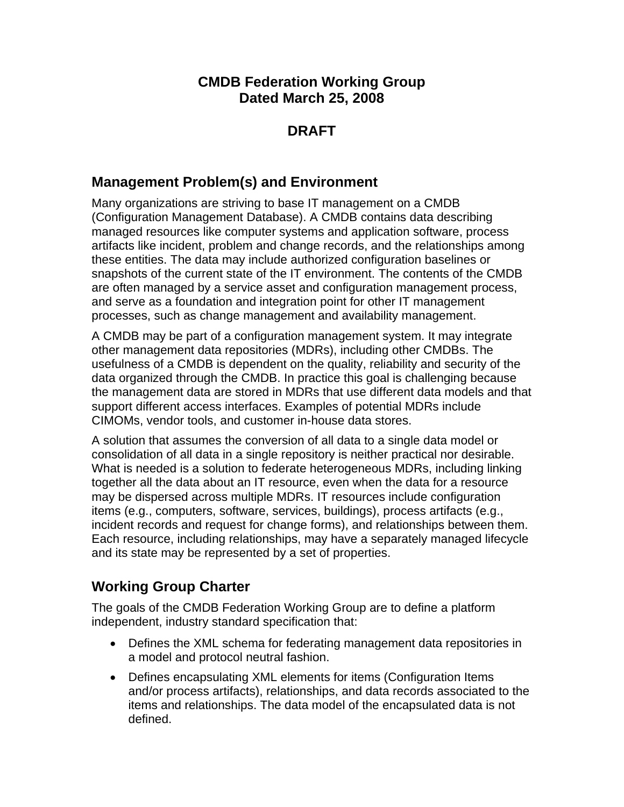### **CMDB Federation Working Group Dated March 25, 2008**

# **DRAFT**

#### **Management Problem(s) and Environment**

Many organizations are striving to base IT management on a CMDB (Configuration Management Database). A CMDB contains data describing managed resources like computer systems and application software, process artifacts like incident, problem and change records, and the relationships among these entities. The data may include authorized configuration baselines or snapshots of the current state of the IT environment. The contents of the CMDB are often managed by a service asset and configuration management process, and serve as a foundation and integration point for other IT management processes, such as change management and availability management.

A CMDB may be part of a configuration management system. It may integrate other management data repositories (MDRs), including other CMDBs. The usefulness of a CMDB is dependent on the quality, reliability and security of the data organized through the CMDB. In practice this goal is challenging because the management data are stored in MDRs that use different data models and that support different access interfaces. Examples of potential MDRs include CIMOMs, vendor tools, and customer in-house data stores.

A solution that assumes the conversion of all data to a single data model or consolidation of all data in a single repository is neither practical nor desirable. What is needed is a solution to federate heterogeneous MDRs, including linking together all the data about an IT resource, even when the data for a resource may be dispersed across multiple MDRs. IT resources include configuration items (e.g., computers, software, services, buildings), process artifacts (e.g., incident records and request for change forms), and relationships between them. Each resource, including relationships, may have a separately managed lifecycle and its state may be represented by a set of properties.

# **Working Group Charter**

The goals of the CMDB Federation Working Group are to define a platform independent, industry standard specification that:

- Defines the XML schema for federating management data repositories in a model and protocol neutral fashion.
- Defines encapsulating XML elements for items (Configuration Items and/or process artifacts), relationships, and data records associated to the items and relationships. The data model of the encapsulated data is not defined.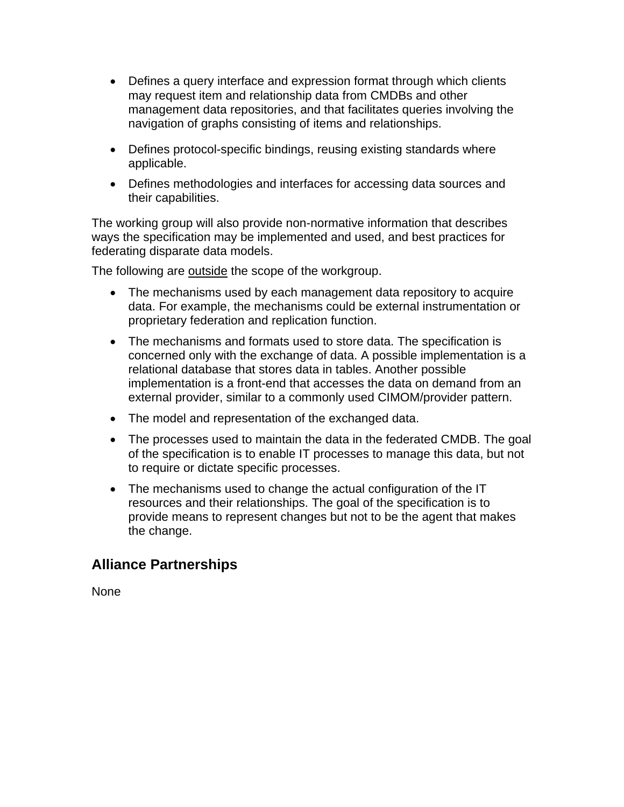- Defines a query interface and expression format through which clients may request item and relationship data from CMDBs and other management data repositories, and that facilitates queries involving the navigation of graphs consisting of items and relationships.
- Defines protocol-specific bindings, reusing existing standards where applicable.
- Defines methodologies and interfaces for accessing data sources and their capabilities.

The working group will also provide non-normative information that describes ways the specification may be implemented and used, and best practices for federating disparate data models.

The following are outside the scope of the workgroup.

- The mechanisms used by each management data repository to acquire data. For example, the mechanisms could be external instrumentation or proprietary federation and replication function.
- The mechanisms and formats used to store data. The specification is concerned only with the exchange of data. A possible implementation is a relational database that stores data in tables. Another possible implementation is a front-end that accesses the data on demand from an external provider, similar to a commonly used CIMOM/provider pattern.
- The model and representation of the exchanged data.
- The processes used to maintain the data in the federated CMDB. The goal of the specification is to enable IT processes to manage this data, but not to require or dictate specific processes.
- The mechanisms used to change the actual configuration of the IT resources and their relationships. The goal of the specification is to provide means to represent changes but not to be the agent that makes the change.

# **Alliance Partnerships**

None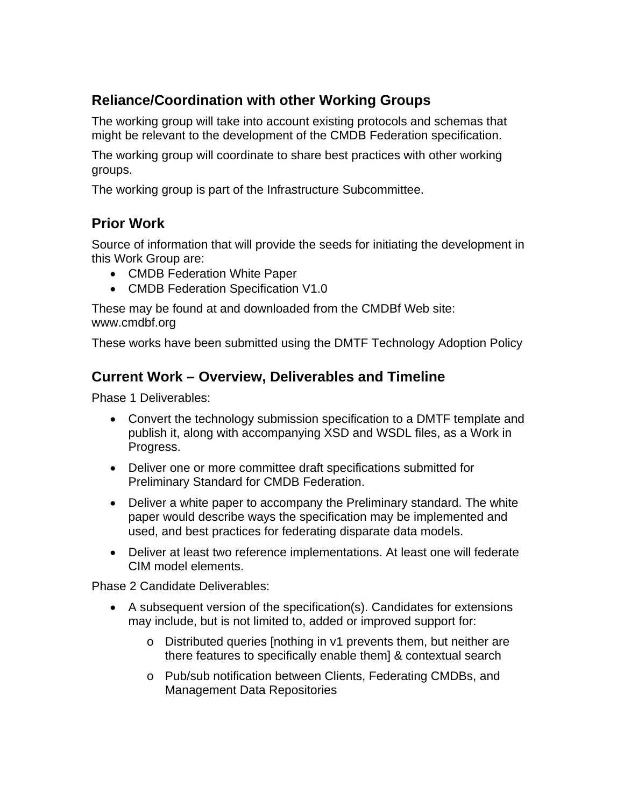### **Reliance/Coordination with other Working Groups**

The working group will take into account existing protocols and schemas that might be relevant to the development of the CMDB Federation specification.

The working group will coordinate to share best practices with other working groups.

The working group is part of the Infrastructure Subcommittee.

### **Prior Work**

Source of information that will provide the seeds for initiating the development in this Work Group are:

- CMDB Federation White Paper
- CMDB Federation Specification V1.0

These may be found at and downloaded from the CMDBf Web site: www.cmdbf.org

These works have been submitted using the DMTF Technology Adoption Policy

### **Current Work – Overview, Deliverables and Timeline**

Phase 1 Deliverables:

- Convert the technology submission specification to a DMTF template and publish it, along with accompanying XSD and WSDL files, as a Work in Progress.
- Deliver one or more committee draft specifications submitted for Preliminary Standard for CMDB Federation.
- Deliver a white paper to accompany the Preliminary standard. The white paper would describe ways the specification may be implemented and used, and best practices for federating disparate data models.
- Deliver at least two reference implementations. At least one will federate CIM model elements.

Phase 2 Candidate Deliverables:

- A subsequent version of the specification(s). Candidates for extensions may include, but is not limited to, added or improved support for:
	- o Distributed queries [nothing in v1 prevents them, but neither are there features to specifically enable them] & contextual search
	- o Pub/sub notification between Clients, Federating CMDBs, and Management Data Repositories